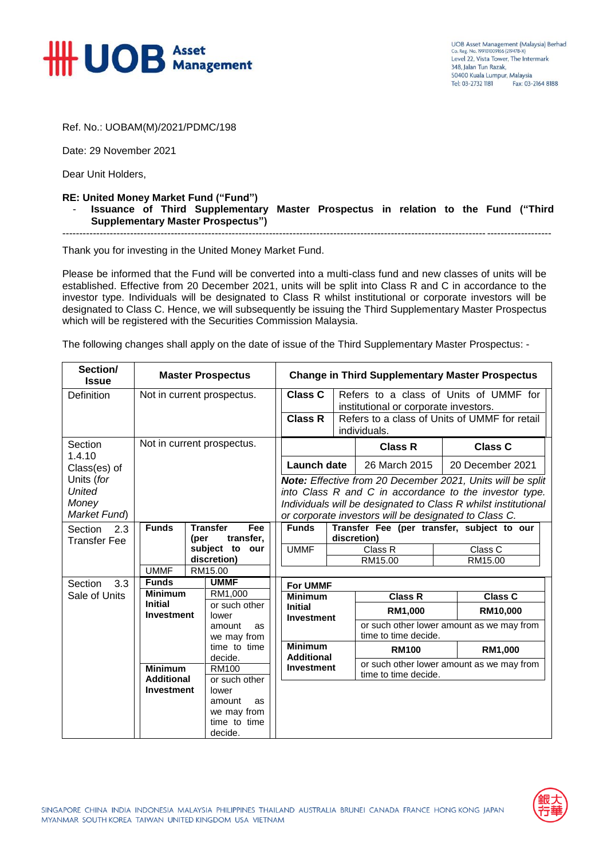

Ref. No.: UOBAM(M)/2021/PDMC/198

Date: 29 November 2021

Dear Unit Holders,

## **RE: United Money Market Fund ("Fund")** - **Issuance of Third Supplementary Master Prospectus in relation to the Fund ("Third Supplementary Master Prospectus")** ------------------------------------------------------------------------------------------------------------------------------------------------

Thank you for investing in the United Money Market Fund.

Please be informed that the Fund will be converted into a multi-class fund and new classes of units will be established. Effective from 20 December 2021, units will be split into Class R and C in accordance to the investor type. Individuals will be designated to Class R whilst institutional or corporate investors will be designated to Class C. Hence, we will subsequently be issuing the Third Supplementary Master Prospectus which will be registered with the Securities Commission Malaysia.

The following changes shall apply on the date of issue of the Third Supplementary Master Prospectus: -

| Section/<br><b>Issue</b> | <b>Master Prospectus</b>                              |                     |                                             |                                     | <b>Change in Third Supplementary Master Prospectus</b>                                     |                                                                                 |                                                                   |                  |                |  |  |
|--------------------------|-------------------------------------------------------|---------------------|---------------------------------------------|-------------------------------------|--------------------------------------------------------------------------------------------|---------------------------------------------------------------------------------|-------------------------------------------------------------------|------------------|----------------|--|--|
| <b>Definition</b>        | Not in current prospectus.                            |                     |                                             |                                     | Class C<br>Refers to a class of Units of UMMF for<br>institutional or corporate investors. |                                                                                 |                                                                   |                  |                |  |  |
|                          |                                                       |                     |                                             |                                     |                                                                                            | <b>Class R</b><br>Refers to a class of Units of UMMF for retail<br>individuals. |                                                                   |                  |                |  |  |
| Section<br>1.4.10        | Not in current prospectus.                            |                     |                                             |                                     |                                                                                            |                                                                                 | <b>Class R</b>                                                    |                  | <b>Class C</b> |  |  |
| Class(es) of             |                                                       |                     |                                             |                                     | Launch date                                                                                |                                                                                 | 26 March 2015                                                     | 20 December 2021 |                |  |  |
| Units (for               |                                                       |                     |                                             |                                     | Note: Effective from 20 December 2021, Units will be split                                 |                                                                                 |                                                                   |                  |                |  |  |
| <b>United</b>            |                                                       |                     |                                             |                                     | into Class R and C in accordance to the investor type.                                     |                                                                                 |                                                                   |                  |                |  |  |
| Money                    |                                                       |                     |                                             |                                     | Individuals will be designated to Class R whilst institutional                             |                                                                                 |                                                                   |                  |                |  |  |
| Market Fund)             |                                                       |                     |                                             |                                     | or corporate investors will be designated to Class C.                                      |                                                                                 |                                                                   |                  |                |  |  |
| Section<br>2.3           | <b>Funds</b>                                          |                     | <b>Transfer</b><br>Fee<br>transfer,<br>(per |                                     | Transfer Fee (per transfer, subject to our<br><b>Funds</b><br>discretion)                  |                                                                                 |                                                                   |                  |                |  |  |
| <b>Transfer Fee</b>      |                                                       |                     | subject to our                              |                                     | <b>UMMF</b>                                                                                |                                                                                 | Class R                                                           |                  | Class C        |  |  |
|                          |                                                       | discretion)         |                                             |                                     |                                                                                            |                                                                                 | RM15.00                                                           |                  | RM15.00        |  |  |
|                          | <b>UMMF</b><br>RM15.00                                |                     |                                             |                                     |                                                                                            |                                                                                 |                                                                   |                  |                |  |  |
| 3.3<br>Section           | <b>UMMF</b><br><b>Funds</b>                           |                     |                                             |                                     | <b>For UMMF</b>                                                                            |                                                                                 |                                                                   |                  |                |  |  |
| Sale of Units            | <b>Minimum</b><br><b>Initial</b><br><b>Investment</b> |                     | RM1,000                                     |                                     | <b>Minimum</b>                                                                             |                                                                                 | <b>Class R</b>                                                    |                  | <b>Class C</b> |  |  |
|                          |                                                       |                     | or such other<br>lower                      | <b>Initial</b><br><b>Investment</b> |                                                                                            |                                                                                 | RM1,000                                                           |                  | RM10,000       |  |  |
|                          |                                                       | amount<br><b>as</b> |                                             |                                     |                                                                                            |                                                                                 | or such other lower amount as we may from<br>time to time decide. |                  |                |  |  |
|                          |                                                       |                     | we may from<br>time to time                 |                                     | <b>Minimum</b>                                                                             |                                                                                 |                                                                   |                  |                |  |  |
|                          |                                                       |                     | decide.                                     |                                     | <b>Additional</b>                                                                          |                                                                                 | <b>RM100</b>                                                      |                  | RM1,000        |  |  |
|                          | <b>Minimum</b><br><b>Additional</b>                   |                     | <b>RM100</b>                                |                                     | <b>Investment</b>                                                                          |                                                                                 | or such other lower amount as we may from                         |                  |                |  |  |
|                          |                                                       |                     | or such other                               |                                     |                                                                                            |                                                                                 | time to time decide.                                              |                  |                |  |  |
|                          | <b>Investment</b>                                     |                     | lower                                       |                                     |                                                                                            |                                                                                 |                                                                   |                  |                |  |  |
|                          |                                                       |                     | amount<br>as                                |                                     |                                                                                            |                                                                                 |                                                                   |                  |                |  |  |
|                          |                                                       |                     | we may from<br>time to time                 |                                     |                                                                                            |                                                                                 |                                                                   |                  |                |  |  |
|                          |                                                       |                     | decide.                                     |                                     |                                                                                            |                                                                                 |                                                                   |                  |                |  |  |